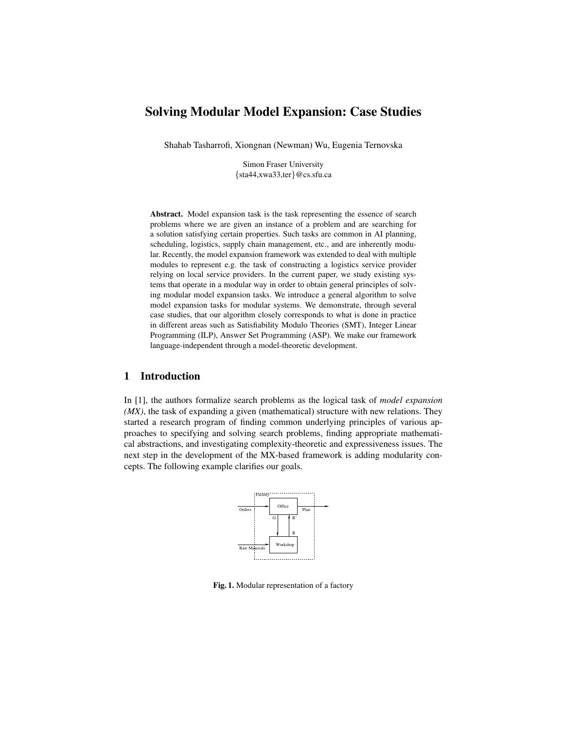# Solving Modular Model Expansion: Case Studies

Shahab Tasharrofi, Xiongnan (Newman) Wu, Eugenia Ternovska

Simon Fraser University {sta44,xwa33,ter}@cs.sfu.ca

Abstract. Model expansion task is the task representing the essence of search problems where we are given an instance of a problem and are searching for a solution satisfying certain properties. Such tasks are common in AI planning, scheduling, logistics, supply chain management, etc., and are inherently modular. Recently, the model expansion framework was extended to deal with multiple modules to represent e.g. the task of constructing a logistics service provider relying on local service providers. In the current paper, we study existing systems that operate in a modular way in order to obtain general principles of solving modular model expansion tasks. We introduce a general algorithm to solve model expansion tasks for modular systems. We demonstrate, through several case studies, that our algorithm closely corresponds to what is done in practice in different areas such as Satisfiability Modulo Theories (SMT), Integer Linear Programming (ILP), Answer Set Programming (ASP). We make our framework language-independent through a model-theoretic development.

# 1 Introduction

In [1], the authors formalize search problems as the logical task of *model expansion (MX)*, the task of expanding a given (mathematical) structure with new relations. They started a research program of finding common underlying principles of various approaches to specifying and solving search problems, finding appropriate mathematical abstractions, and investigating complexity-theoretic and expressiveness issues. The next step in the development of the MX-based framework is adding modularity concepts. The following example clarifies our goals.



Fig. 1. Modular representation of a factory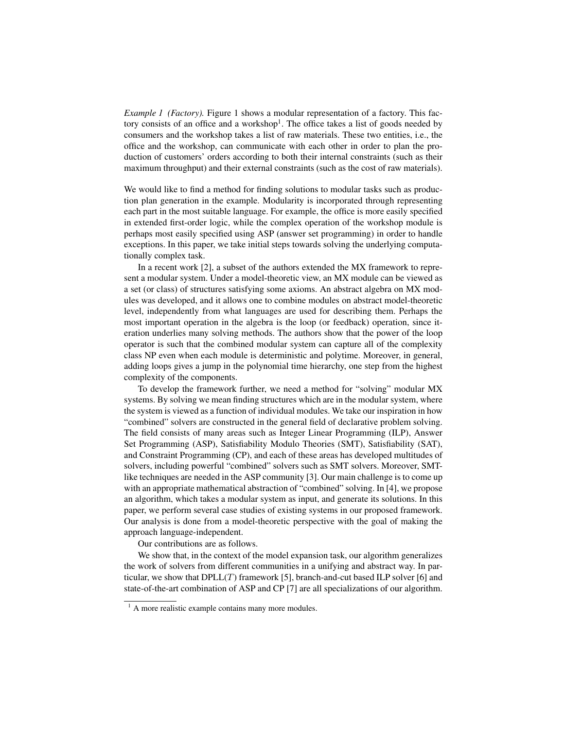*Example 1 (Factory).* Figure 1 shows a modular representation of a factory. This factory consists of an office and a workshop<sup>1</sup>. The office takes a list of goods needed by consumers and the workshop takes a list of raw materials. These two entities, i.e., the office and the workshop, can communicate with each other in order to plan the production of customers' orders according to both their internal constraints (such as their maximum throughput) and their external constraints (such as the cost of raw materials).

We would like to find a method for finding solutions to modular tasks such as production plan generation in the example. Modularity is incorporated through representing each part in the most suitable language. For example, the office is more easily specified in extended first-order logic, while the complex operation of the workshop module is perhaps most easily specified using ASP (answer set programming) in order to handle exceptions. In this paper, we take initial steps towards solving the underlying computationally complex task.

In a recent work [2], a subset of the authors extended the MX framework to represent a modular system. Under a model-theoretic view, an MX module can be viewed as a set (or class) of structures satisfying some axioms. An abstract algebra on MX modules was developed, and it allows one to combine modules on abstract model-theoretic level, independently from what languages are used for describing them. Perhaps the most important operation in the algebra is the loop (or feedback) operation, since iteration underlies many solving methods. The authors show that the power of the loop operator is such that the combined modular system can capture all of the complexity class NP even when each module is deterministic and polytime. Moreover, in general, adding loops gives a jump in the polynomial time hierarchy, one step from the highest complexity of the components.

To develop the framework further, we need a method for "solving" modular MX systems. By solving we mean finding structures which are in the modular system, where the system is viewed as a function of individual modules. We take our inspiration in how "combined" solvers are constructed in the general field of declarative problem solving. The field consists of many areas such as Integer Linear Programming (ILP), Answer Set Programming (ASP), Satisfiability Modulo Theories (SMT), Satisfiability (SAT), and Constraint Programming (CP), and each of these areas has developed multitudes of solvers, including powerful "combined" solvers such as SMT solvers. Moreover, SMTlike techniques are needed in the ASP community [3]. Our main challenge is to come up with an appropriate mathematical abstraction of "combined" solving. In [4], we propose an algorithm, which takes a modular system as input, and generate its solutions. In this paper, we perform several case studies of existing systems in our proposed framework. Our analysis is done from a model-theoretic perspective with the goal of making the approach language-independent.

Our contributions are as follows.

We show that, in the context of the model expansion task, our algorithm generalizes the work of solvers from different communities in a unifying and abstract way. In particular, we show that  $DPLL(T)$  framework [5], branch-and-cut based ILP solver [6] and state-of-the-art combination of ASP and CP [7] are all specializations of our algorithm.

 $<sup>1</sup>$  A more realistic example contains many more modules.</sup>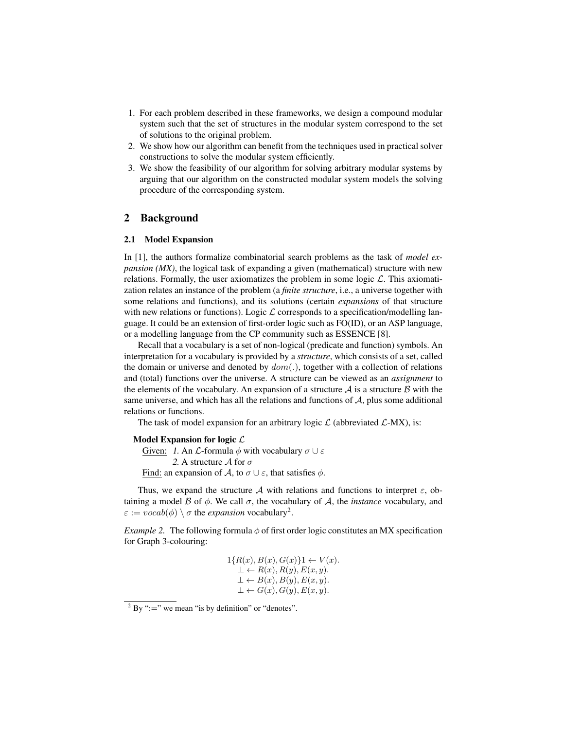- 1. For each problem described in these frameworks, we design a compound modular system such that the set of structures in the modular system correspond to the set of solutions to the original problem.
- 2. We show how our algorithm can benefit from the techniques used in practical solver constructions to solve the modular system efficiently.
- 3. We show the feasibility of our algorithm for solving arbitrary modular systems by arguing that our algorithm on the constructed modular system models the solving procedure of the corresponding system.

# 2 Background

#### 2.1 Model Expansion

In [1], the authors formalize combinatorial search problems as the task of *model expansion (MX)*, the logical task of expanding a given (mathematical) structure with new relations. Formally, the user axiomatizes the problem in some logic  $\mathcal{L}$ . This axiomatization relates an instance of the problem (a *finite structure*, i.e., a universe together with some relations and functions), and its solutions (certain *expansions* of that structure with new relations or functions). Logic  $\mathcal L$  corresponds to a specification/modelling language. It could be an extension of first-order logic such as FO(ID), or an ASP language, or a modelling language from the CP community such as ESSENCE [8].

Recall that a vocabulary is a set of non-logical (predicate and function) symbols. An interpretation for a vocabulary is provided by a *structure*, which consists of a set, called the domain or universe and denoted by  $dom(.)$ , together with a collection of relations and (total) functions over the universe. A structure can be viewed as an *assignment* to the elements of the vocabulary. An expansion of a structure  $A$  is a structure  $B$  with the same universe, and which has all the relations and functions of  $A$ , plus some additional relations or functions.

The task of model expansion for an arbitrary logic  $\mathcal{L}$  (abbreviated  $\mathcal{L}$ -MX), is:

### Model Expansion for logic  $\mathcal L$

Given: 1. An  $\mathcal L$ -formula  $\phi$  with vocabulary  $\sigma \cup \varepsilon$ 2. A structure  $\mathcal A$  for  $\sigma$ Find: an expansion of A, to  $\sigma \cup \varepsilon$ , that satisfies  $\phi$ .

Thus, we expand the structure A with relations and functions to interpret  $\varepsilon$ , obtaining a model B of  $\phi$ . We call  $\sigma$ , the vocabulary of A, the *instance* vocabulary, and  $\varepsilon := vocab(\phi) \setminus \sigma$  the *expansion* vocabulary<sup>2</sup>.

*Example 2.* The following formula  $\phi$  of first order logic constitutes an MX specification for Graph 3-colouring:

$$
1\{R(x), B(x), G(x)\}1 \leftarrow V(x).
$$
  
\n
$$
\perp \leftarrow R(x), R(y), E(x, y).
$$
  
\n
$$
\perp \leftarrow B(x), B(y), E(x, y).
$$
  
\n
$$
\perp \leftarrow G(x), G(y), E(x, y).
$$

 $2$  By ":=" we mean "is by definition" or "denotes".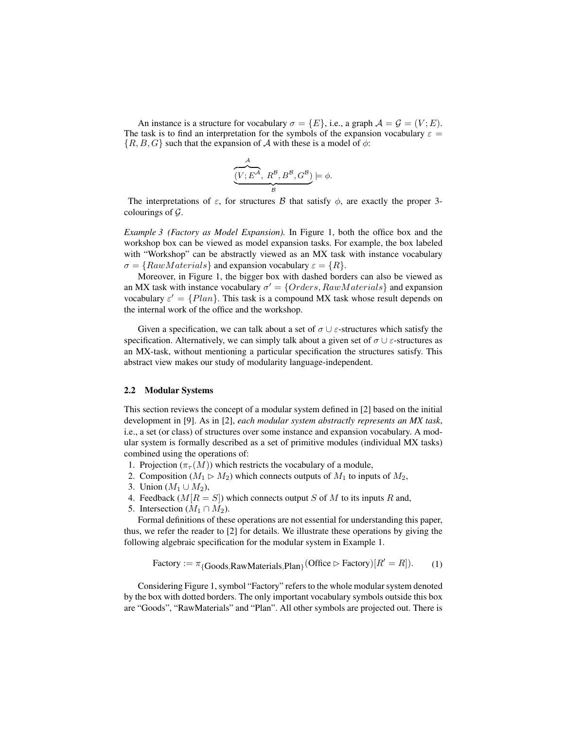An instance is a structure for vocabulary  $\sigma = \{E\}$ , i.e., a graph  $\mathcal{A} = \mathcal{G} = (V; E)$ . The task is to find an interpretation for the symbols of the expansion vocabulary  $\varepsilon =$  $\{R, B, G\}$  such that the expansion of A with these is a model of  $\phi$ :

$$
\underbrace{\overbrace{(V; E^{\mathcal{A}}, R^{\mathcal{B}}, B^{\mathcal{B}}, G^{\mathcal{B}})}^{\mathcal{A}}} _{\mathcal{B}} \models \phi.
$$

The interpretations of  $\varepsilon$ , for structures B that satisfy  $\phi$ , are exactly the proper 3colourings of  $\mathcal{G}$ .

*Example 3 (Factory as Model Expansion).* In Figure 1, both the office box and the workshop box can be viewed as model expansion tasks. For example, the box labeled with "Workshop" can be abstractly viewed as an MX task with instance vocabulary  $\sigma = \{ RawMaterials\}$  and expansion vocabulary  $\varepsilon = \{R\}.$ 

Moreover, in Figure 1, the bigger box with dashed borders can also be viewed as an MX task with instance vocabulary  $\sigma' = \{Orders, RawMaterials\}$  and expansion vocabulary  $\varepsilon' = \{Plan\}$ . This task is a compound MX task whose result depends on the internal work of the office and the workshop.

Given a specification, we can talk about a set of  $\sigma \cup \varepsilon$ -structures which satisfy the specification. Alternatively, we can simply talk about a given set of  $\sigma \cup \varepsilon$ -structures as an MX-task, without mentioning a particular specification the structures satisfy. This abstract view makes our study of modularity language-independent.

#### 2.2 Modular Systems

This section reviews the concept of a modular system defined in [2] based on the initial development in [9]. As in [2], *each modular system abstractly represents an MX task*, i.e., a set (or class) of structures over some instance and expansion vocabulary. A modular system is formally described as a set of primitive modules (individual MX tasks) combined using the operations of:

- 1. Projection ( $\pi_{\tau}(M)$ ) which restricts the vocabulary of a module,
- 2. Composition ( $M_1 \triangleright M_2$ ) which connects outputs of  $M_1$  to inputs of  $M_2$ ,
- 3. Union  $(M_1 ∪ M_2)$ ,
- 4. Feedback  $(M[R = S])$  which connects output S of M to its inputs R and,
- 5. Intersection  $(M_1 \cap M_2)$ .

Formal definitions of these operations are not essential for understanding this paper, thus, we refer the reader to [2] for details. We illustrate these operations by giving the following algebraic specification for the modular system in Example 1.

Factory := 
$$
\pi
$$
{Goods,RawMaterials,Plan} (Office > Factory)[ $R' = R$ ]). (1)

Considering Figure 1, symbol "Factory" refers to the whole modular system denoted by the box with dotted borders. The only important vocabulary symbols outside this box are "Goods", "RawMaterials" and "Plan". All other symbols are projected out. There is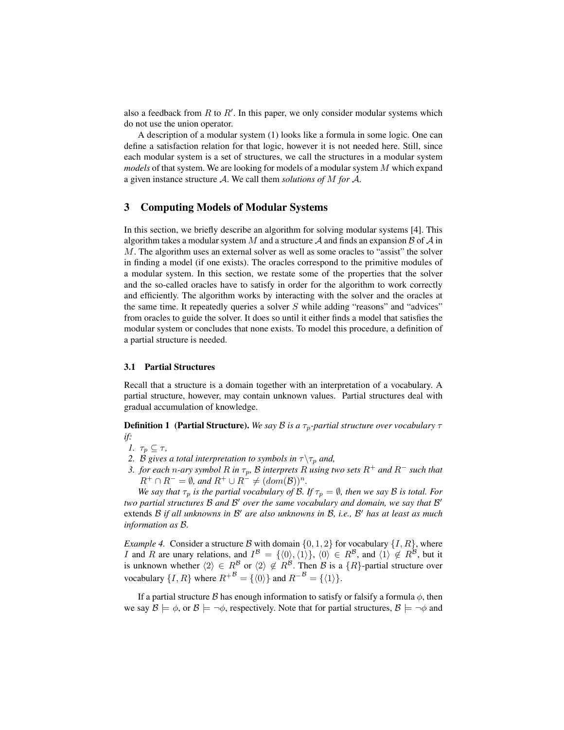also a feedback from  $R$  to  $R'$ . In this paper, we only consider modular systems which do not use the union operator.

A description of a modular system (1) looks like a formula in some logic. One can define a satisfaction relation for that logic, however it is not needed here. Still, since each modular system is a set of structures, we call the structures in a modular system *models* of that system. We are looking for models of a modular system M which expand a given instance structure A. We call them *solutions of* M *for* A.

# 3 Computing Models of Modular Systems

In this section, we briefly describe an algorithm for solving modular systems [4]. This algorithm takes a modular system M and a structure A and finds an expansion B of A in M. The algorithm uses an external solver as well as some oracles to "assist" the solver in finding a model (if one exists). The oracles correspond to the primitive modules of a modular system. In this section, we restate some of the properties that the solver and the so-called oracles have to satisfy in order for the algorithm to work correctly and efficiently. The algorithm works by interacting with the solver and the oracles at the same time. It repeatedly queries a solver  $S$  while adding "reasons" and "advices" from oracles to guide the solver. It does so until it either finds a model that satisfies the modular system or concludes that none exists. To model this procedure, a definition of a partial structure is needed.

#### 3.1 Partial Structures

Recall that a structure is a domain together with an interpretation of a vocabulary. A partial structure, however, may contain unknown values. Partial structures deal with gradual accumulation of knowledge.

**Definition 1 (Partial Structure).** *We say B is a*  $\tau_p$ -partial structure over vocabulary  $\tau$ *if:*

*1.*  $\tau_p \subseteq \tau$ ,

- *2. B gives a total interpretation to symbols in*  $\tau \setminus \tau_p$  *and,*
- *3. for each n*-ary symbol R in  $\tau_p$ , B interprets R using two sets  $R^+$  and  $R^-$  such that  $R^+ \cap R^- = \emptyset$ , and  $R^+ \cup R^- \neq (dom(\mathcal{B}))^n$ .

*We say that*  $\tau_p$  *is the partial vocabulary of B. If*  $\tau_p = \emptyset$ *, then we say B is total. For* two partial structures B and B<sup>*I*</sup> over the same vocabulary and domain, we say that B<sup>*I*</sup> extends  $\beta$  if all unknowns in  $\beta'$  are also unknowns in  $\beta$ , i.e.,  $\beta'$  has at least as much *information as* B*.*

*Example 4.* Consider a structure B with domain  $\{0, 1, 2\}$  for vocabulary  $\{I, R\}$ , where I and R are unary relations, and  $I^{\mathcal{B}} = \{ \langle 0 \rangle, \langle 1 \rangle \}, \langle 0 \rangle \in R^{\mathcal{B}}$ , and  $\langle 1 \rangle \notin R^{\mathcal{B}}$ , but it is unknown whether  $\langle 2 \rangle \in R^{\mathcal{B}}$  or  $\langle 2 \rangle \notin R^{\mathcal{B}}$ . Then  $\mathcal{B}$  is a  $\{R\}$ -partial structure over vocabulary  $\{I, R\}$  where  $R^{+B} = \{\langle 0 \rangle\}$  and  $R^{-B} = \{\langle 1 \rangle\}.$ 

If a partial structure B has enough information to satisfy or falsify a formula  $\phi$ , then we say  $\mathcal{B} \models \phi$ , or  $\mathcal{B} \models \neg \phi$ , respectively. Note that for partial structures,  $\mathcal{B} \models \neg \phi$  and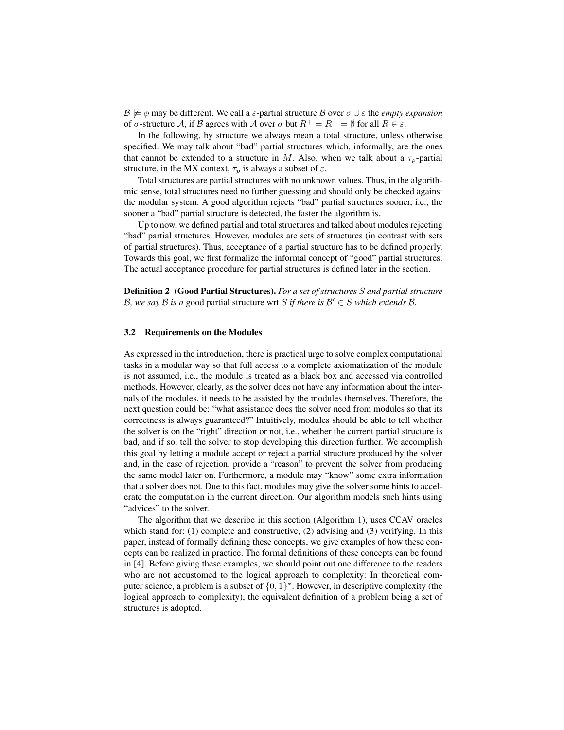$B \not\models \phi$  may be different. We call a  $\varepsilon$ -partial structure B over  $\sigma \cup \varepsilon$  the *empty expansion* of  $\sigma$ -structure A, if B agrees with A over  $\sigma$  but  $R^+ = R^- = \emptyset$  for all  $R \in \varepsilon$ .

In the following, by structure we always mean a total structure, unless otherwise specified. We may talk about "bad" partial structures which, informally, are the ones that cannot be extended to a structure in M. Also, when we talk about a  $\tau_p$ -partial structure, in the MX context,  $\tau_p$  is always a subset of  $\varepsilon$ .

Total structures are partial structures with no unknown values. Thus, in the algorithmic sense, total structures need no further guessing and should only be checked against the modular system. A good algorithm rejects "bad" partial structures sooner, i.e., the sooner a "bad" partial structure is detected, the faster the algorithm is.

Up to now, we defined partial and total structures and talked about modules rejecting "bad" partial structures. However, modules are sets of structures (in contrast with sets of partial structures). Thus, acceptance of a partial structure has to be defined properly. Towards this goal, we first formalize the informal concept of "good" partial structures. The actual acceptance procedure for partial structures is defined later in the section.

Definition 2 (Good Partial Structures). *For a set of structures* S *and partial structure* B, we say B is a good partial structure wrt S if there is  $\mathcal{B}' \in S$  which extends B.

#### 3.2 Requirements on the Modules

As expressed in the introduction, there is practical urge to solve complex computational tasks in a modular way so that full access to a complete axiomatization of the module is not assumed, i.e., the module is treated as a black box and accessed via controlled methods. However, clearly, as the solver does not have any information about the internals of the modules, it needs to be assisted by the modules themselves. Therefore, the next question could be: "what assistance does the solver need from modules so that its correctness is always guaranteed?" Intuitively, modules should be able to tell whether the solver is on the "right" direction or not, i.e., whether the current partial structure is bad, and if so, tell the solver to stop developing this direction further. We accomplish this goal by letting a module accept or reject a partial structure produced by the solver and, in the case of rejection, provide a "reason" to prevent the solver from producing the same model later on. Furthermore, a module may "know" some extra information that a solver does not. Due to this fact, modules may give the solver some hints to accelerate the computation in the current direction. Our algorithm models such hints using "advices" to the solver.

The algorithm that we describe in this section (Algorithm 1), uses CCAV oracles which stand for: (1) complete and constructive, (2) advising and (3) verifying. In this paper, instead of formally defining these concepts, we give examples of how these concepts can be realized in practice. The formal definitions of these concepts can be found in [4]. Before giving these examples, we should point out one difference to the readers who are not accustomed to the logical approach to complexity: In theoretical computer science, a problem is a subset of  $\{0, 1\}^*$ . However, in descriptive complexity (the logical approach to complexity), the equivalent definition of a problem being a set of structures is adopted.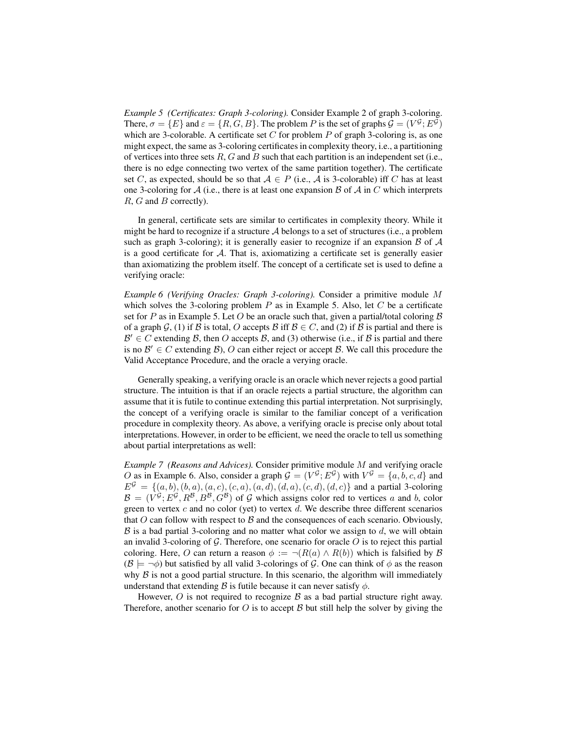*Example 5 (Certificates: Graph 3-coloring).* Consider Example 2 of graph 3-coloring. There,  $\sigma = \{E\}$  and  $\varepsilon = \{R, G, B\}$ . The problem P is the set of graphs  $\mathcal{G} = (V^{\mathcal{G}}; E^{\mathcal{G}})$ which are 3-colorable. A certificate set  $C$  for problem  $P$  of graph 3-coloring is, as one might expect, the same as 3-coloring certificates in complexity theory, i.e., a partitioning of vertices into three sets  $R$ ,  $G$  and  $B$  such that each partition is an independent set (i.e., there is no edge connecting two vertex of the same partition together). The certificate set C, as expected, should be so that  $A \in P$  (i.e., A is 3-colorable) iff C has at least one 3-coloring for A (i.e., there is at least one expansion  $\beta$  of A in C which interprets R, G and B correctly).

In general, certificate sets are similar to certificates in complexity theory. While it might be hard to recognize if a structure  $A$  belongs to a set of structures (i.e., a problem such as graph 3-coloring); it is generally easier to recognize if an expansion  $\beta$  of  $\mathcal A$ is a good certificate for  $A$ . That is, axiomatizing a certificate set is generally easier than axiomatizing the problem itself. The concept of a certificate set is used to define a verifying oracle:

*Example 6 (Verifying Oracles: Graph 3-coloring).* Consider a primitive module M which solves the 3-coloring problem  $P$  as in Example 5. Also, let  $C$  be a certificate set for P as in Example 5. Let O be an oracle such that, given a partial/total coloring  $\beta$ of a graph G, (1) if B is total, O accepts B iff  $B \in C$ , and (2) if B is partial and there is  $\mathcal{B}' \in C$  extending  $\mathcal{B}$ , then O accepts  $\mathcal{B}$ , and (3) otherwise (i.e., if  $\mathcal{B}$  is partial and there is no  $\mathcal{B}' \in C$  extending  $\mathcal{B}$ ), O can either reject or accept  $\mathcal{B}$ . We call this procedure the Valid Acceptance Procedure, and the oracle a verying oracle.

Generally speaking, a verifying oracle is an oracle which never rejects a good partial structure. The intuition is that if an oracle rejects a partial structure, the algorithm can assume that it is futile to continue extending this partial interpretation. Not surprisingly, the concept of a verifying oracle is similar to the familiar concept of a verification procedure in complexity theory. As above, a verifying oracle is precise only about total interpretations. However, in order to be efficient, we need the oracle to tell us something about partial interpretations as well:

*Example 7 (Reasons and Advices).* Consider primitive module M and verifying oracle O as in Example 6. Also, consider a graph  $G = (V^{\mathcal{G}}; E^{\mathcal{G}})$  with  $V^{\mathcal{G}} = \{a, b, c, d\}$  and  $E^{\mathcal{G}} = \{(a, b), (b, a), (a, c), (c, a), (a, d), (d, a), (c, d), (d, c)\}\$ and a partial 3-coloring  $\mathcal{B} = (V^{\mathcal{G}}; E^{\mathcal{G}}, R^{\mathcal{B}}, B^{\mathcal{B}}, G^{\mathcal{B}})$  of  $\mathcal{G}$  which assigns color red to vertices a and b, color green to vertex c and no color (yet) to vertex d. We describe three different scenarios that O can follow with respect to  $\beta$  and the consequences of each scenario. Obviously,  $\beta$  is a bad partial 3-coloring and no matter what color we assign to  $d$ , we will obtain an invalid 3-coloring of  $G$ . Therefore, one scenario for oracle  $O$  is to reject this partial coloring. Here, O can return a reason  $\phi := \neg(R(a) \land R(b))$  which is falsified by B  $(\mathcal{B} \models \neg \phi)$  but satisfied by all valid 3-colorings of G. One can think of  $\phi$  as the reason why  $\beta$  is not a good partial structure. In this scenario, the algorithm will immediately understand that extending B is futile because it can never satisfy  $\phi$ .

However,  $O$  is not required to recognize  $B$  as a bad partial structure right away. Therefore, another scenario for O is to accept  $\beta$  but still help the solver by giving the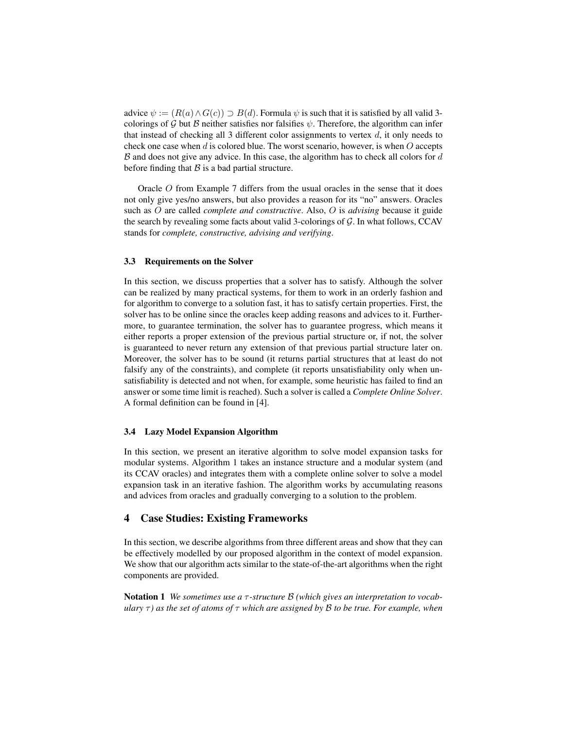advice  $\psi := (R(a) \wedge G(c)) \supseteq B(d)$ . Formula  $\psi$  is such that it is satisfied by all valid 3colorings of G but B neither satisfies nor falsifies  $\psi$ . Therefore, the algorithm can infer that instead of checking all 3 different color assignments to vertex  $d$ , it only needs to check one case when  $d$  is colored blue. The worst scenario, however, is when  $O$  accepts  $\beta$  and does not give any advice. In this case, the algorithm has to check all colors for  $d$ before finding that  $\beta$  is a bad partial structure.

Oracle O from Example 7 differs from the usual oracles in the sense that it does not only give yes/no answers, but also provides a reason for its "no" answers. Oracles such as O are called *complete and constructive*. Also, O is *advising* because it guide the search by revealing some facts about valid 3-colorings of  $G$ . In what follows, CCAV stands for *complete, constructive, advising and verifying*.

#### 3.3 Requirements on the Solver

In this section, we discuss properties that a solver has to satisfy. Although the solver can be realized by many practical systems, for them to work in an orderly fashion and for algorithm to converge to a solution fast, it has to satisfy certain properties. First, the solver has to be online since the oracles keep adding reasons and advices to it. Furthermore, to guarantee termination, the solver has to guarantee progress, which means it either reports a proper extension of the previous partial structure or, if not, the solver is guaranteed to never return any extension of that previous partial structure later on. Moreover, the solver has to be sound (it returns partial structures that at least do not falsify any of the constraints), and complete (it reports unsatisfiability only when unsatisfiability is detected and not when, for example, some heuristic has failed to find an answer or some time limit is reached). Such a solver is called a *Complete Online Solver*. A formal definition can be found in [4].

#### 3.4 Lazy Model Expansion Algorithm

In this section, we present an iterative algorithm to solve model expansion tasks for modular systems. Algorithm 1 takes an instance structure and a modular system (and its CCAV oracles) and integrates them with a complete online solver to solve a model expansion task in an iterative fashion. The algorithm works by accumulating reasons and advices from oracles and gradually converging to a solution to the problem.

# 4 Case Studies: Existing Frameworks

In this section, we describe algorithms from three different areas and show that they can be effectively modelled by our proposed algorithm in the context of model expansion. We show that our algorithm acts similar to the state-of-the-art algorithms when the right components are provided.

Notation 1 *We sometimes use a* τ *-structure* B *(which gives an interpretation to vocabulary*  $\tau$ ) *as the set of atoms of*  $\tau$  *which are assigned by*  $\beta$  *to be true. For example, when*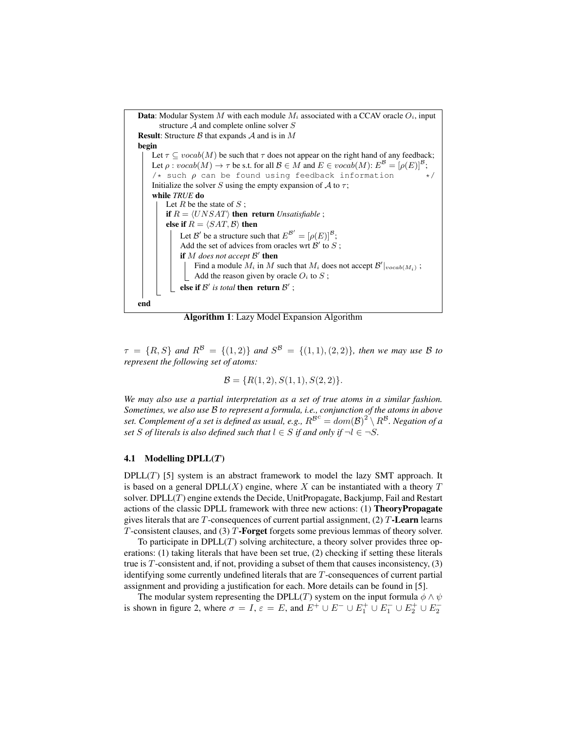

Algorithm 1: Lazy Model Expansion Algorithm

 $\tau = \{R, S\}$  and  $R^{\mathcal{B}} = \{(1, 2)\}$  and  $S^{\mathcal{B}} = \{(1, 1), (2, 2)\}$ , then we may use B to *represent the following set of atoms:*

$$
\mathcal{B} = \{R(1,2), S(1,1), S(2,2)\}.
$$

*We may also use a partial interpretation as a set of true atoms in a similar fashion. Sometimes, we also use* B *to represent a formula, i.e., conjunction of the atoms in above* set. Complement of a set is defined as usual, e.g.,  $R^{\mathcal{B}^c} = dom(\mathcal{B})^2 \setminus R^{\mathcal{B}}$ . Negation of a *set* S of literals is also defined such that  $l \in S$  if and only if  $\neg l \in \neg S$ .

#### 4.1 Modelling  $DPLL(T)$

 $DPLL(T)$  [5] system is an abstract framework to model the lazy SMT approach. It is based on a general  $DPLL(X)$  engine, where X can be instantiated with a theory T solver. DPL $L(T)$  engine extends the Decide, UnitPropagate, Backjump, Fail and Restart actions of the classic DPLL framework with three new actions: (1) TheoryPropagate gives literals that are T-consequences of current partial assignment,  $(2)$  T-**Learn** learns  $T$ -consistent clauses, and (3)  $T$ -**Forget** forgets some previous lemmas of theory solver.

To participate in  $DPLL(T)$  solving architecture, a theory solver provides three operations: (1) taking literals that have been set true, (2) checking if setting these literals true is  $T$ -consistent and, if not, providing a subset of them that causes inconsistency,  $(3)$ identifying some currently undefined literals that are T-consequences of current partial assignment and providing a justification for each. More details can be found in [5].

The modular system representing the DPLL(T) system on the input formula  $\phi \wedge \psi$ is shown in figure 2, where  $\sigma = I$ ,  $\varepsilon = E$ , and  $E^+ \cup E^- \cup E_1^+ \cup E_1^- \cup E_2^+ \cup E_2^-$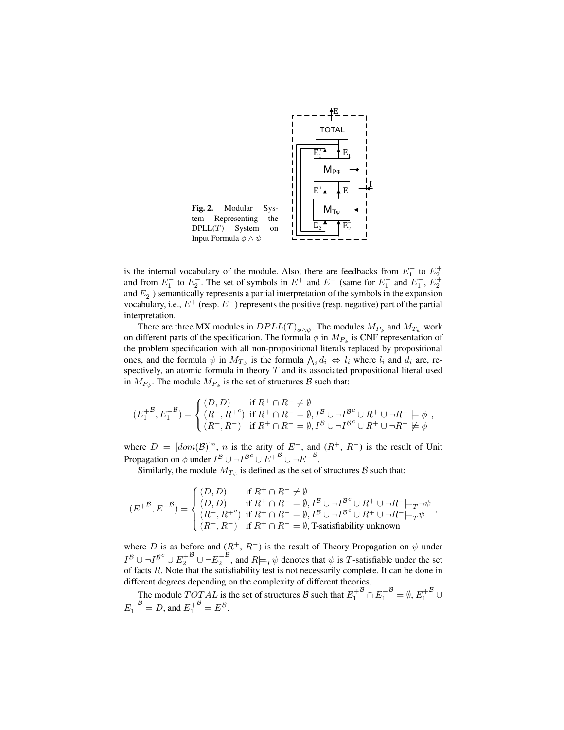

is the internal vocabulary of the module. Also, there are feedbacks from  $E_1^+$  to  $E_2^+$  and from  $E_1^-$  to  $E_2^-$ . The set of symbols in  $E^+$  and  $E^-$  (same for  $E_1^+$  and  $E_1^-$ ,  $E_2^+$ and  $E_2^-$ ) semantically represents a partial interpretation of the symbols in the expansion vocabulary, i.e.,  $E^+$  (resp.  $E^-$ ) represents the positive (resp. negative) part of the partial interpretation.

There are three MX modules in  $DPLL(T)_{\phi \wedge \psi}$ . The modules  $M_{P_{\phi}}$  and  $M_{T_{\psi}}$  work on different parts of the specification. The formula  $\phi$  in  $M_{P_{\phi}}$  is CNF representation of the problem specification with all non-propositional literals replaced by propositional ones, and the formula  $\psi$  in  $M_{T_{\psi}}$  is the formula  $\bigwedge_i d_i \Leftrightarrow l_i$  where  $l_i$  and  $d_i$  are, respectively, an atomic formula in theory  $T$  and its associated propositional literal used in  $M_{P_{\phi}}$ . The module  $M_{P_{\phi}}$  is the set of structures  $\mathcal{B}$  such that:

$$
(E_1^{+B}, E_1^{-B}) = \begin{cases} (D, D) & \text{if } R^+ \cap R^- \neq \emptyset \\ (R^+, R^+^c) & \text{if } R^+ \cap R^- = \emptyset, I^B \cup \neg I^{B^c} \cup R^+ \cup \neg R^- \models \phi \\ (R^+, R^-) & \text{if } R^+ \cap R^- = \emptyset, I^B \cup \neg I^{B^c} \cup R^+ \cup \neg R^- \not\models \phi \end{cases}
$$

where  $D = [dom(\mathcal{B})]^n$ , n is the arity of  $E^+$ , and  $(R^+, R^-)$  is the result of Unit Propagation on  $\phi$  under  $I^B \cup \neg I^{B^c} \cup E^{+B} \cup \neg E^{-B}$ .

Similarly, the module  $M_{T_{\psi}}$  is defined as the set of structures  $\mathcal{B}$  such that:

$$
(E^{+\mathcal{B}},E^{-\mathcal{B}})=\begin{cases} (D,D) & \text{ if } R^+\cap R^-\neq \emptyset\\ (D,D) & \text{ if } R^+\cap R^-=\emptyset, I^{\mathcal{B}}\cup \neg I^{\mathcal{B}^c}\cup R^+\cup \neg R^-\models_T \neg \psi\\ (R^+,R^+)& \text{ if } R^+\cap R^-=\emptyset, I^{\mathcal{B}}\cup \neg I^{\mathcal{B}^c}\cup R^+\cup \neg R^-\models_T \psi\\ (R^+,R^-)& \text{ if } R^+\cap R^-=\emptyset, \text{T-satisfiability unknown}\end{cases},
$$

where D is as before and  $(R^+, R^-)$  is the result of Theory Propagation on  $\psi$  under  $I^{\mathcal{B}}\cup\neg I^{\mathcal{B}^c}\cup E_2^+$  $^{\mathcal{B}}$  ∪ ¬ $E_2^-$ <sup>B</sup>, and  $R \models_T \psi$  denotes that  $\psi$  is T-satisfiable under the set of facts R. Note that the satisfiability test is not necessarily complete. It can be done in different degrees depending on the complexity of different theories.

The module  $TOTAL$  is the set of structures B such that  $E_1^+$  $\overline{B} \cap E_1^ \mathcal{B} = \emptyset, E_1^+$  $^{\mathcal{B}}$  ∪  $E_1^ \mathcal{B} = D$ , and  $E_1^+$  $\mathcal{B}=E^{\mathcal{B}}.$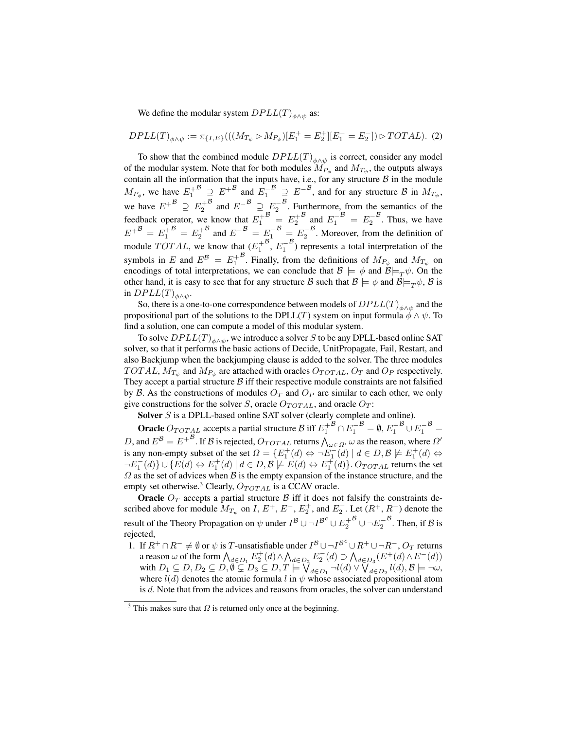We define the modular system  $DPLL(T)_{\phi \land \psi}$  as:

$$
DPLL(T)_{\phi \wedge \psi} := \pi_{\{I, E\}}(((M_{T_{\psi}} \triangleright M_{P_{\phi}})[E_1^+ = E_2^+][E_1^- = E_2^-]) \triangleright TOTAL). (2)
$$

To show that the combined module  $DPLL(T)_{\phi \land \psi}$  is correct, consider any model of the modular system. Note that for both modules  $M_{P_{\phi}}$  and  $M_{T_{\psi}}$ , the outputs always contain all the information that the inputs have, i.e., for any structure  $\beta$  in the module  $M_{P_\phi}$ , we have  $E_1^+$  $B \supseteq E^{+B}$  and  $E_1^ B \supseteq E^{-B}$ , and for any structure B in  $M_{T_{\psi}}$ , we have  $E^{+B} \supseteq E_2^+$  $B$  and  $E^{-B} \supseteq E_2^ \beta$ . Furthermore, from the semantics of the feedback operator, we know that  $E_1^+$  $B = E_2^+$  $^{B}$  and  $E_1^ B = E_2^ ^{\mathcal{B}}$ . Thus, we have  $E^{+B} = E_1^+$  $B = E_2^+$  $B^{\circ}$  and  $E^{-B} = E_1^{-}$  $\mathcal{B} = E_2^ \beta$ . Moreover, from the definition of module  $TOTAL$ , we know that  $(E_1^+$  $^{\mathcal{B}}, E_1^ \beta$ ) represents a total interpretation of the symbols in E and  $E^B = E_1^+$ <sup>B</sup>. Finally, from the definitions of  $M_{P_{\phi}}$  and  $M_{T_{\psi}}$  on encodings of total interpretations, we can conclude that  $\mathcal{B} \models \phi$  and  $\mathcal{B} \models_T \psi$ . On the other hand, it is easy to see that for any structure B such that  $\mathcal{B} \models \phi$  and  $\mathcal{B} \models_T \psi$ , B is in  $DPLL(T)_{\phi \wedge \psi}$ .

So, there is a one-to-one correspondence between models of  $DPLL(T)_{\phi\land\psi}$  and the propositional part of the solutions to the DPLL(T) system on input formula  $\phi \wedge \psi$ . To find a solution, one can compute a model of this modular system.

To solve  $DPLL(T)_{\phi\land\psi},$  we introduce a solver  $S$  to be any DPLL-based online SAT solver, so that it performs the basic actions of Decide, UnitPropagate, Fail, Restart, and also Backjump when the backjumping clause is added to the solver. The three modules TOTAL,  $M_{T_{\psi}}$  and  $M_{P_{\phi}}$  are attached with oracles  $O_{TOTAL}$ ,  $O_T$  and  $O_P$  respectively. They accept a partial structure  $\beta$  iff their respective module constraints are not falsified by B. As the constructions of modules  $O_T$  and  $O_P$  are similar to each other, we only give constructions for the solver S, oracle  $O_{TOTAL}$ , and oracle  $O_T$ :

Solver S is a DPLL-based online SAT solver (clearly complete and online).

**Oracle**  $O_{TOTAL}$  accepts a partial structure  $\mathcal{B}$  iff  $E_1^+$  $\overline{B} \cap E_1^ \mathcal{B} = \emptyset, E_1^+$  $B\overline{E_1}$  $\mathcal{B}_{\doteq}$ D, and  $E^B = E^{+B}$ . If B is rejected,  $O_{TOTAL}$  returns  $\bigwedge_{\omega \in \Omega'} \omega$  as the reason, where  $\Omega'$ is any non-empty subset of the set  $\Omega = \{E_1^+(d) \Leftrightarrow \neg E_1^-(d) \mid d \in D, \mathcal{B} \not\models E_1^+(d) \Leftrightarrow$  $\neg E_1^-(d)\}\cup \{E(d) \Leftrightarrow E_1^+(d) \mid d \in D, \mathcal{B} \not\models E(d) \Leftrightarrow E_1^+(d)\}$ .  $O_{TOTAL}$  returns the set  $\Omega$  as the set of advices when  $\mathcal B$  is the empty expansion of the instance structure, and the empty set otherwise.<sup>3</sup> Clearly,  $O_{TOTAL}$  is a CCAV oracle.

**Oracle**  $O_T$  accepts a partial structure  $\beta$  iff it does not falsify the constraints described above for module  $M_{T_{\psi}}$  on I,  $E^+, E^-, E_2^+$ , and  $E_2^-$ . Let  $(R^+, R^-)$  denote the result of the Theory Propagation on  $\psi$  under  $I^{\mathcal{B}} \cup \neg I^{\mathcal{B}^c} \cup E_2^+$  $^{\mathcal{B}}$ ∪¬ $E_2^ ^{\mathcal{B}}$ . Then, if  $\mathcal{B}$  is rejected,

1. If  $R^+ \cap R^- \neq \emptyset$  or  $\psi$  is T-unsatisfiable under  $I^B \cup \neg I^{B^c} \cup R^+ \cup \neg R^-$ ,  $O_T$  returns a reason  $\omega$  of the form  $\bigwedge_{d \in D_1} E_2^+(d) \wedge \bigwedge_{d \in D_2} E_2^-(d) \supset \bigwedge_{d \in D_3} (E^+(d) \wedge E^-(d))$ with  $D_1 \subseteq D, D_2 \subseteq D, \emptyset \subseteq D_3 \subseteq D, T \models \bigvee_{d \in D_1} \neg l(d) \vee \bigvee_{d \in D_2}^s l(d), \mathcal{B} \models \neg \omega$ , where  $l(d)$  denotes the atomic formula l in  $\psi$  whose associated propositional atom is d. Note that from the advices and reasons from oracles, the solver can understand

<sup>&</sup>lt;sup>3</sup> This makes sure that  $\Omega$  is returned only once at the beginning.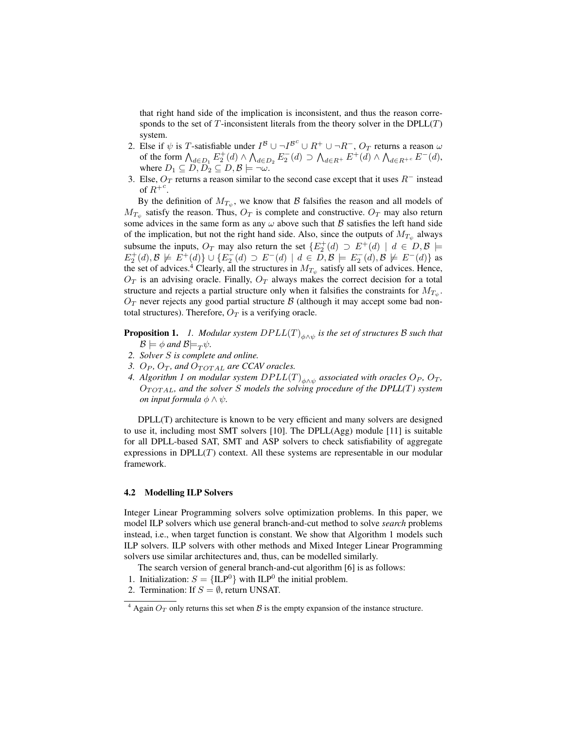that right hand side of the implication is inconsistent, and thus the reason corresponds to the set of T-inconsistent literals from the theory solver in the  $DPLL(T)$ system.

- 2. Else if  $\psi$  is T-satisfiable under  $I^{\mathcal{B}} \cup \neg I^{\mathcal{B}^c} \cup R^+ \cup \neg R^-$ ,  $O_T$  returns a reason  $\omega$ of the form  $\bigwedge_{d\in D_1} E_2^+(d) \wedge \bigwedge_{d\in D_2} E_2^-(d) \supset \bigwedge_{d\in R^+} E^+(d) \wedge \bigwedge_{d\in R^{+c}} E^-(d)$ , where  $D_1 \subseteq D$ ,  $D_2 \subseteq D$ ,  $\beta \models \neg \omega$ .
- 3. Else,  $O_T$  returns a reason similar to the second case except that it uses  $R^-$  instead of  $R^{+c}$ .

By the definition of  $M_{T_{\psi}}$ , we know that  $\beta$  falsifies the reason and all models of  $M_{T_{\psi}}$  satisfy the reason. Thus,  $O_T$  is complete and constructive.  $O_T$  may also return some advices in the same form as any  $\omega$  above such that  $\beta$  satisfies the left hand side of the implication, but not the right hand side. Also, since the outputs of  $M_{T_{\psi}}$  always subsume the inputs,  $O_T$  may also return the set  $\{E_2^+(d) \supset E^+(d) \mid d \in D, \mathcal{B} \models$  $E_2^+(d), \mathcal{B} \not\models E^+(d) \} \cup \{ E_2^-(d) \supset E^-(d) \mid d \in \overline{D}, \mathcal{B} \models E_2^-(d), \mathcal{B} \not\models E^-(d) \}$  as the set of advices.<sup>4</sup> Clearly, all the structures in  $M_{T_{\psi}}$  satisfy all sets of advices. Hence,  $O_T$  is an advising oracle. Finally,  $O_T$  always makes the correct decision for a total structure and rejects a partial structure only when it falsifies the constraints for  $M_{T_{\psi}}$ .  $O_T$  never rejects any good partial structure  $\beta$  (although it may accept some bad nontotal structures). Therefore,  $O_T$  is a verifying oracle.

Proposition 1. *1. Modular system* DP LL(T)φ∧<sup>ψ</sup> *is the set of structures* B *such that*  $\mathcal{B} \models \phi$  and  $\mathcal{B} \models_{\mathcal{T}} \psi$ .

- *2. Solver* S *is complete and online.*
- *3.*  $O_P$ ,  $O_T$ , and  $O_{TOTAL}$  are CCAV oracles.
- *4. Algorithm 1 on modular system*  $DPLL(T)_{\phi\land\psi}$  *associated with oracles*  $O_P$ *,*  $O_T$ *,* OT OT AL*, and the solver* S *models the solving procedure of the DPLL(*T*) system on input formula*  $\phi \land \psi$ *.*

DPLL(T) architecture is known to be very efficient and many solvers are designed to use it, including most SMT solvers [10]. The DPLL(Agg) module [11] is suitable for all DPLL-based SAT, SMT and ASP solvers to check satisfiability of aggregate expressions in  $DPLL(T)$  context. All these systems are representable in our modular framework.

#### 4.2 Modelling ILP Solvers

Integer Linear Programming solvers solve optimization problems. In this paper, we model ILP solvers which use general branch-and-cut method to solve *search* problems instead, i.e., when target function is constant. We show that Algorithm 1 models such ILP solvers. ILP solvers with other methods and Mixed Integer Linear Programming solvers use similar architectures and, thus, can be modelled similarly.

The search version of general branch-and-cut algorithm [6] is as follows:

- 1. Initialization:  $S = \{ILP^0\}$  with  $ILP^0$  the initial problem.
- 2. Termination: If  $S = \emptyset$ , return UNSAT.

 $4$  Again  $O_T$  only returns this set when  $\beta$  is the empty expansion of the instance structure.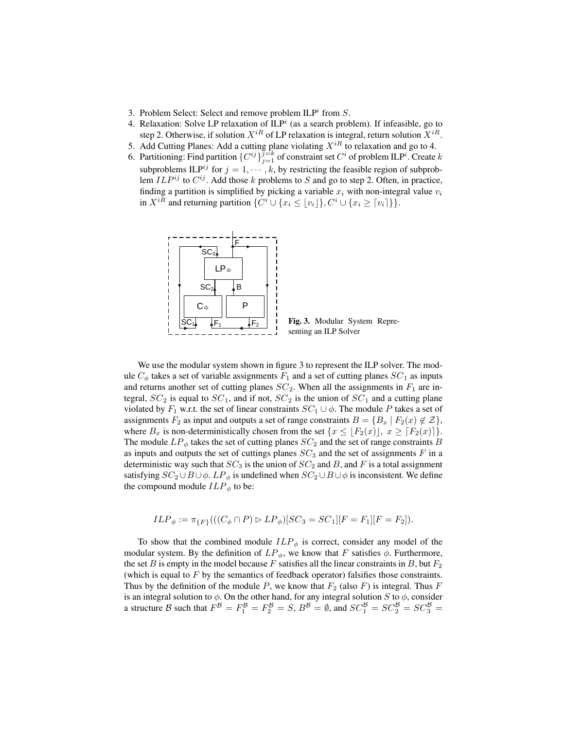- 3. Problem Select: Select and remove problem  $ILP<sup>i</sup>$  from  $S$ .
- 4. Relaxation: Solve LP relaxation of  $ILP<sup>i</sup>$  (as a search problem). If infeasible, go to step 2. Otherwise, if solution  $X^{iR}$  of LP relaxation is integral, return solution  $X^{iR}$ .
- 5. Add Cutting Planes: Add a cutting plane violating  $X^{iR}$  to relaxation and go to 4.
- 6. Partitioning: Find partition  $\{C^{ij}\}_{j=1}^{\overline{j=k}}$  of constraint set  $C^i$  of problem ILP<sup>i</sup>. Create k subproblems ILP<sup>ij</sup> for  $j = 1, \dots, k$ , by restricting the feasible region of subproblem  $ILP^{ij}$  to  $C^{ij}$ . Add those k problems to S and go to step 2. Often, in practice, finding a partition is simplified by picking a variable  $x_i$  with non-integral value  $v_i$ in  $X^{iR}$  and returning partition  $\{C^i \cup \{x_i \leq \lfloor v_i \rfloor\}, C^i \cup \{x_i \geq \lceil v_i \rceil\}\}.$



Fig. 3. Modular System Representing an ILP Solver

We use the modular system shown in figure 3 to represent the ILP solver. The module  $C_{\phi}$  takes a set of variable assignments  $F_1$  and a set of cutting planes  $SC_1$  as inputs and returns another set of cutting planes  $SC_2$ . When all the assignments in  $F_1$  are integral,  $SC_2$  is equal to  $SC_1$ , and if not,  $SC_2$  is the union of  $SC_1$  and a cutting plane violated by  $F_1$  w.r.t. the set of linear constraints  $SC_1 \cup \phi$ . The module P takes a set of assignments  $F_2$  as input and outputs a set of range constraints  $B = \{B_x \mid F_2(x) \notin \mathcal{Z}\},\$ where  $B_x$  is non-deterministically chosen from the set  $\{x \leq |F_2(x)|, x \geq [F_2(x)]\}.$ The module  $LP_{\phi}$  takes the set of cutting planes  $SC_2$  and the set of range constraints B as inputs and outputs the set of cuttings planes  $SC_3$  and the set of assignments  $F$  in a deterministic way such that  $SC_3$  is the union of  $SC_2$  and B, and F is a total assignment satisfying  $SC_2 \cup B \cup \phi$ .  $LP_{\phi}$  is undefined when  $SC_2 \cup B \cup \phi$  is inconsistent. We define the compound module  $ILP_{\phi}$  to be:

$$
ILP_{\phi} := \pi_{\{F\}}(((C_{\phi} \cap P) \triangleright LP_{\phi})[SC_3 = SC_1][F = F_1][F = F_2]).
$$

To show that the combined module  $ILP_{\phi}$  is correct, consider any model of the modular system. By the definition of  $LP_{\phi}$ , we know that F satisfies  $\phi$ . Furthermore, the set B is empty in the model because F satisfies all the linear constraints in B, but  $F_2$ (which is equal to  $F$  by the semantics of feedback operator) falsifies those constraints. Thus by the definition of the module P, we know that  $F_2$  (also F) is integral. Thus F is an integral solution to  $\phi$ . On the other hand, for any integral solution S to  $\phi$ , consider a structure B such that  $F^B = F_1^B = F_2^B = S$ ,  $B^B = \emptyset$ , and  $SC_1^B = SC_2^B = SC_3^B =$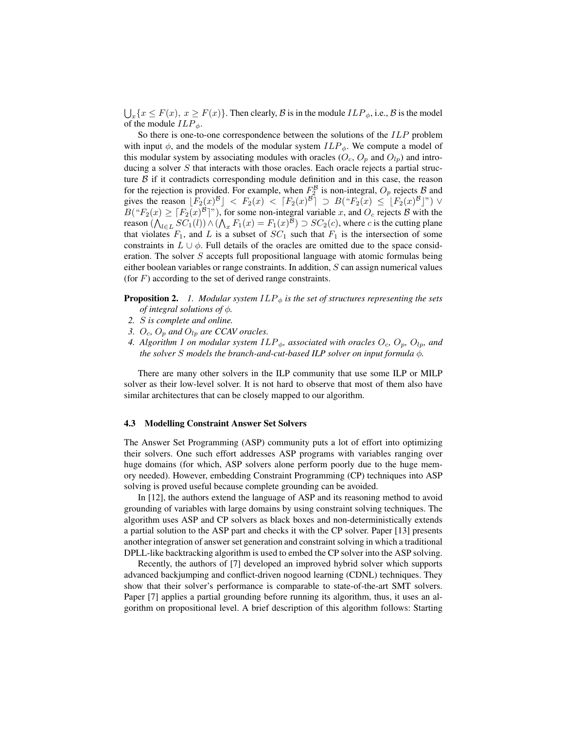$\bigcup_x \{x \leq F(x), x \geq F(x)\}\.$  Then clearly,  $\beta$  is in the module  $ILP_{\phi}$ , i.e.,  $\beta$  is the model of the module  $ILP_{\phi}$ .

So there is one-to-one correspondence between the solutions of the ILP problem with input  $\phi$ , and the models of the modular system  $ILP_{\phi}$ . We compute a model of this modular system by associating modules with oracles  $(O_c, O_p$  and  $O_{lp})$  and introducing a solver  $S$  that interacts with those oracles. Each oracle rejects a partial structure  $\beta$  if it contradicts corresponding module definition and in this case, the reason for the rejection is provided. For example, when  $F_2^{\mathcal{B}}$  is non-integral,  $O_p$  rejects  $\mathcal{B}$  and gives the reason  $\lfloor F_2(x)^\beta \rfloor \langle F_2(x) \rangle \leq \lceil F_2(x)^\beta \rceil \supset B("F_2(x) \leq \lfloor F_2(x)^\beta \rfloor") \vee$  $B("F_2(x) \geq [F_2(x)^{18}]$ "), for some non-integral variable x, and  $O_c$  rejects B with the reason  $(\bigwedge_{l \in L} SC_1(l)) \wedge (\bigwedge_x F_1(x) = F_1(x)^\mathcal{B}) \supset SC_2(c)$ , where c is the cutting plane that violates  $F_1$ , and L is a subset of  $SC_1$  such that  $F_1$  is the intersection of some constraints in  $L \cup \phi$ . Full details of the oracles are omitted due to the space consideration. The solver  $S$  accepts full propositional language with atomic formulas being either boolean variables or range constraints. In addition,  $S$  can assign numerical values (for  $F$ ) according to the set of derived range constraints.

**Proposition 2.** *1. Modular system*  $ILP_{\phi}$  *is the set of structures representing the sets of integral solutions of* φ*.*

- *2.* S *is complete and online.*
- *3.*  $O_c$ ,  $O_p$  *and*  $O_{lp}$  *are CCAV oracles.*
- *4. Algorithm 1 on modular system*  $ILP_{\phi}$ *, associated with oracles*  $O_c$ *,*  $O_p$ *,*  $O_{lp}$ *, and the solver* S *models the branch-and-cut-based ILP solver on input formula* φ*.*

There are many other solvers in the ILP community that use some ILP or MILP solver as their low-level solver. It is not hard to observe that most of them also have similar architectures that can be closely mapped to our algorithm.

#### 4.3 Modelling Constraint Answer Set Solvers

The Answer Set Programming (ASP) community puts a lot of effort into optimizing their solvers. One such effort addresses ASP programs with variables ranging over huge domains (for which, ASP solvers alone perform poorly due to the huge memory needed). However, embedding Constraint Programming (CP) techniques into ASP solving is proved useful because complete grounding can be avoided.

In [12], the authors extend the language of ASP and its reasoning method to avoid grounding of variables with large domains by using constraint solving techniques. The algorithm uses ASP and CP solvers as black boxes and non-deterministically extends a partial solution to the ASP part and checks it with the CP solver. Paper [13] presents another integration of answer set generation and constraint solving in which a traditional DPLL-like backtracking algorithm is used to embed the CP solver into the ASP solving.

Recently, the authors of [7] developed an improved hybrid solver which supports advanced backjumping and conflict-driven nogood learning (CDNL) techniques. They show that their solver's performance is comparable to state-of-the-art SMT solvers. Paper [7] applies a partial grounding before running its algorithm, thus, it uses an algorithm on propositional level. A brief description of this algorithm follows: Starting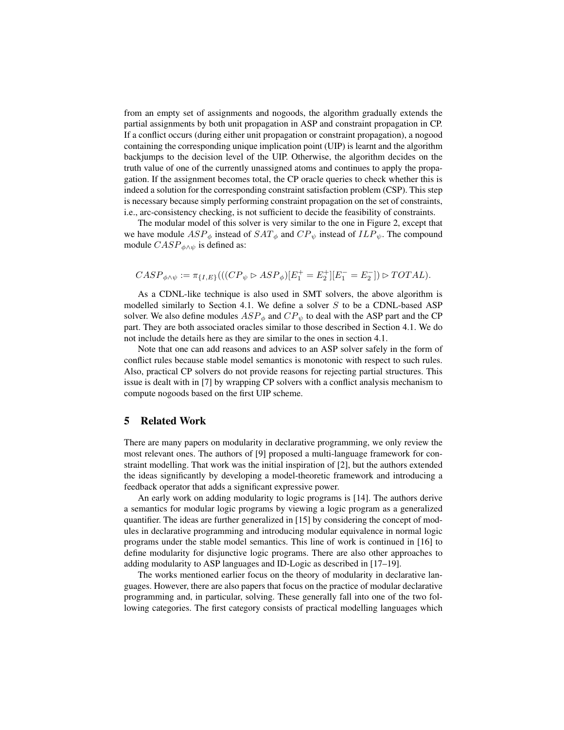from an empty set of assignments and nogoods, the algorithm gradually extends the partial assignments by both unit propagation in ASP and constraint propagation in CP. If a conflict occurs (during either unit propagation or constraint propagation), a nogood containing the corresponding unique implication point (UIP) is learnt and the algorithm backjumps to the decision level of the UIP. Otherwise, the algorithm decides on the truth value of one of the currently unassigned atoms and continues to apply the propagation. If the assignment becomes total, the CP oracle queries to check whether this is indeed a solution for the corresponding constraint satisfaction problem (CSP). This step is necessary because simply performing constraint propagation on the set of constraints, i.e., arc-consistency checking, is not sufficient to decide the feasibility of constraints.

The modular model of this solver is very similar to the one in Figure 2, except that we have module  $ASP_{\phi}$  instead of  $SAT_{\phi}$  and  $CP_{\psi}$  instead of  $ILP_{\psi}$ . The compound module  $CASP_{\phi\wedge\psi}$  is defined as:

$$
CASP_{\phi \wedge \psi} := \pi_{\{I,E\}}(((CP_{\psi} \rhd ASP_{\phi})[E_1^+ = E_2^+][E_1^- = E_2^-]) \rhd TOTAL).
$$

As a CDNL-like technique is also used in SMT solvers, the above algorithm is modelled similarly to Section 4.1. We define a solver  $S$  to be a CDNL-based ASP solver. We also define modules  $ASP_{\phi}$  and  $CP_{\psi}$  to deal with the ASP part and the CP part. They are both associated oracles similar to those described in Section 4.1. We do not include the details here as they are similar to the ones in section 4.1.

Note that one can add reasons and advices to an ASP solver safely in the form of conflict rules because stable model semantics is monotonic with respect to such rules. Also, practical CP solvers do not provide reasons for rejecting partial structures. This issue is dealt with in [7] by wrapping CP solvers with a conflict analysis mechanism to compute nogoods based on the first UIP scheme.

### 5 Related Work

There are many papers on modularity in declarative programming, we only review the most relevant ones. The authors of [9] proposed a multi-language framework for constraint modelling. That work was the initial inspiration of [2], but the authors extended the ideas significantly by developing a model-theoretic framework and introducing a feedback operator that adds a significant expressive power.

An early work on adding modularity to logic programs is [14]. The authors derive a semantics for modular logic programs by viewing a logic program as a generalized quantifier. The ideas are further generalized in [15] by considering the concept of modules in declarative programming and introducing modular equivalence in normal logic programs under the stable model semantics. This line of work is continued in [16] to define modularity for disjunctive logic programs. There are also other approaches to adding modularity to ASP languages and ID-Logic as described in [17–19].

The works mentioned earlier focus on the theory of modularity in declarative languages. However, there are also papers that focus on the practice of modular declarative programming and, in particular, solving. These generally fall into one of the two following categories. The first category consists of practical modelling languages which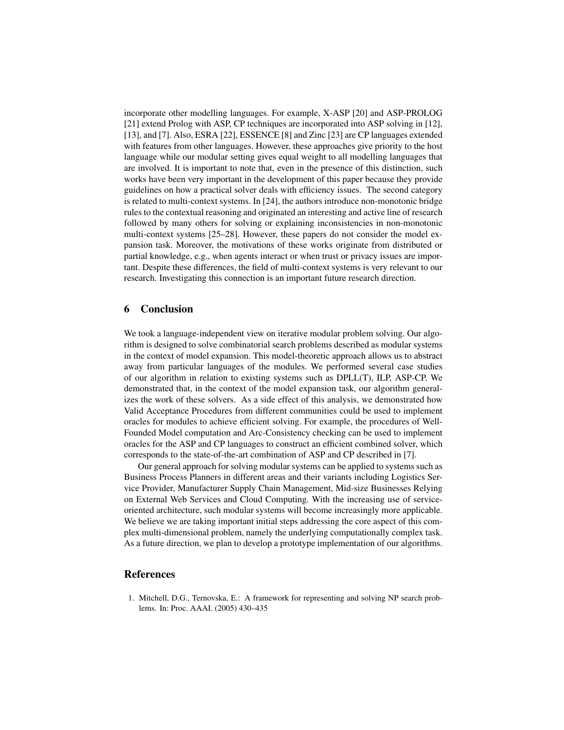incorporate other modelling languages. For example, X-ASP [20] and ASP-PROLOG [21] extend Prolog with ASP, CP techniques are incorporated into ASP solving in [12], [13], and [7]. Also, ESRA [22], ESSENCE [8] and Zinc [23] are CP languages extended with features from other languages. However, these approaches give priority to the host language while our modular setting gives equal weight to all modelling languages that are involved. It is important to note that, even in the presence of this distinction, such works have been very important in the development of this paper because they provide guidelines on how a practical solver deals with efficiency issues. The second category is related to multi-context systems. In [24], the authors introduce non-monotonic bridge rules to the contextual reasoning and originated an interesting and active line of research followed by many others for solving or explaining inconsistencies in non-monotonic multi-context systems [25–28]. However, these papers do not consider the model expansion task. Moreover, the motivations of these works originate from distributed or partial knowledge, e.g., when agents interact or when trust or privacy issues are important. Despite these differences, the field of multi-context systems is very relevant to our research. Investigating this connection is an important future research direction.

## 6 Conclusion

We took a language-independent view on iterative modular problem solving. Our algorithm is designed to solve combinatorial search problems described as modular systems in the context of model expansion. This model-theoretic approach allows us to abstract away from particular languages of the modules. We performed several case studies of our algorithm in relation to existing systems such as DPLL(T), ILP, ASP-CP. We demonstrated that, in the context of the model expansion task, our algorithm generalizes the work of these solvers. As a side effect of this analysis, we demonstrated how Valid Acceptance Procedures from different communities could be used to implement oracles for modules to achieve efficient solving. For example, the procedures of Well-Founded Model computation and Arc-Consistency checking can be used to implement oracles for the ASP and CP languages to construct an efficient combined solver, which corresponds to the state-of-the-art combination of ASP and CP described in [7].

Our general approach for solving modular systems can be applied to systems such as Business Process Planners in different areas and their variants including Logistics Service Provider, Manufacturer Supply Chain Management, Mid-size Businesses Relying on External Web Services and Cloud Computing. With the increasing use of serviceoriented architecture, such modular systems will become increasingly more applicable. We believe we are taking important initial steps addressing the core aspect of this complex multi-dimensional problem, namely the underlying computationally complex task. As a future direction, we plan to develop a prototype implementation of our algorithms.

# References

1. Mitchell, D.G., Ternovska, E.: A framework for representing and solving NP search problems. In: Proc. AAAI. (2005) 430–435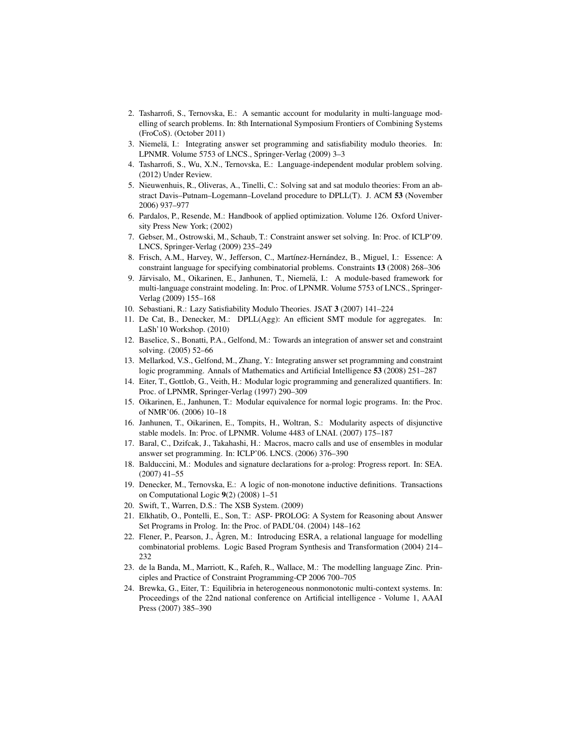- 2. Tasharrofi, S., Ternovska, E.: A semantic account for modularity in multi-language modelling of search problems. In: 8th International Symposium Frontiers of Combining Systems (FroCoS). (October 2011)
- 3. Niemela, I.: Integrating answer set programming and satisfiability modulo theories. In: ¨ LPNMR. Volume 5753 of LNCS., Springer-Verlag (2009) 3–3
- 4. Tasharrofi, S., Wu, X.N., Ternovska, E.: Language-independent modular problem solving. (2012) Under Review.
- 5. Nieuwenhuis, R., Oliveras, A., Tinelli, C.: Solving sat and sat modulo theories: From an abstract Davis–Putnam–Logemann–Loveland procedure to DPLL(T). J. ACM 53 (November 2006) 937–977
- 6. Pardalos, P., Resende, M.: Handbook of applied optimization. Volume 126. Oxford University Press New York; (2002)
- 7. Gebser, M., Ostrowski, M., Schaub, T.: Constraint answer set solving. In: Proc. of ICLP'09. LNCS, Springer-Verlag (2009) 235–249
- 8. Frisch, A.M., Harvey, W., Jefferson, C., Martínez-Hernández, B., Miguel, I.: Essence: A constraint language for specifying combinatorial problems. Constraints 13 (2008) 268–306
- 9. Järvisalo, M., Oikarinen, E., Janhunen, T., Niemelä, I.: A module-based framework for multi-language constraint modeling. In: Proc. of LPNMR. Volume 5753 of LNCS., Springer-Verlag (2009) 155–168
- 10. Sebastiani, R.: Lazy Satisfiability Modulo Theories. JSAT 3 (2007) 141–224
- 11. De Cat, B., Denecker, M.: DPLL(Agg): An efficient SMT module for aggregates. In: LaSh'10 Workshop. (2010)
- 12. Baselice, S., Bonatti, P.A., Gelfond, M.: Towards an integration of answer set and constraint solving. (2005) 52–66
- 13. Mellarkod, V.S., Gelfond, M., Zhang, Y.: Integrating answer set programming and constraint logic programming. Annals of Mathematics and Artificial Intelligence 53 (2008) 251–287
- 14. Eiter, T., Gottlob, G., Veith, H.: Modular logic programming and generalized quantifiers. In: Proc. of LPNMR, Springer-Verlag (1997) 290–309
- 15. Oikarinen, E., Janhunen, T.: Modular equivalence for normal logic programs. In: the Proc. of NMR'06. (2006) 10–18
- 16. Janhunen, T., Oikarinen, E., Tompits, H., Woltran, S.: Modularity aspects of disjunctive stable models. In: Proc. of LPNMR. Volume 4483 of LNAI. (2007) 175–187
- 17. Baral, C., Dzifcak, J., Takahashi, H.: Macros, macro calls and use of ensembles in modular answer set programming. In: ICLP'06. LNCS. (2006) 376–390
- 18. Balduccini, M.: Modules and signature declarations for a-prolog: Progress report. In: SEA. (2007) 41–55
- 19. Denecker, M., Ternovska, E.: A logic of non-monotone inductive definitions. Transactions on Computational Logic 9(2) (2008) 1–51
- 20. Swift, T., Warren, D.S.: The XSB System. (2009)
- 21. Elkhatib, O., Pontelli, E., Son, T.: ASP- PROLOG: A System for Reasoning about Answer Set Programs in Prolog. In: the Proc. of PADL'04. (2004) 148–162
- 22. Flener, P., Pearson, J., Ågren, M.: Introducing ESRA, a relational language for modelling combinatorial problems. Logic Based Program Synthesis and Transformation (2004) 214– 232
- 23. de la Banda, M., Marriott, K., Rafeh, R., Wallace, M.: The modelling language Zinc. Principles and Practice of Constraint Programming-CP 2006 700–705
- 24. Brewka, G., Eiter, T.: Equilibria in heterogeneous nonmonotonic multi-context systems. In: Proceedings of the 22nd national conference on Artificial intelligence - Volume 1, AAAI Press (2007) 385–390